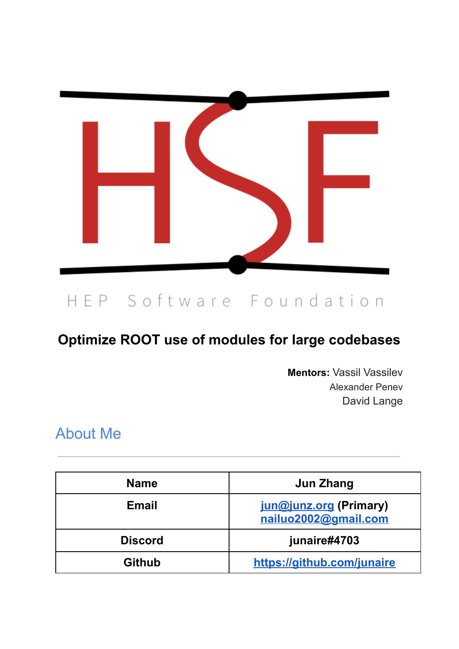

# HEP Software Foundation

### **Optimize ROOT use of modules for large codebases**

**Mentors:** Vassil Vassilev Alexander Penev David Lange

### About Me

| <b>Name</b>    | Jun Zhang                                      |
|----------------|------------------------------------------------|
| Email          | jun@junz.org (Primary)<br>nailuo2002@gmail.com |
| <b>Discord</b> | junaire#4703                                   |
| <b>Github</b>  | https://github.com/junaire                     |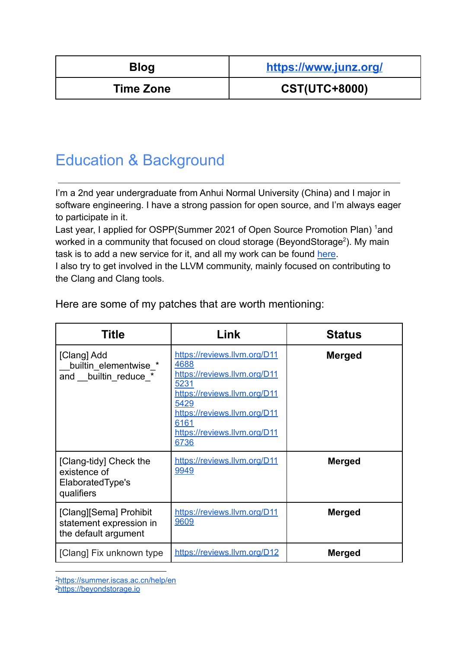| ł<br>×<br>.,<br>- |  |
|-------------------|--|
|-------------------|--|

**Blog <https://www.junz.org/>**

**Time Zone CST(UTC+8000)**

## Education & Background

I'm a 2nd year undergraduate from Anhui Normal University (China) and I major in software engineering. I have a strong passion for open source, and I'm always eager to participate in it.

Last year, I applied for OSPP(Summer 2021 of Open Source Promotion Plan) 1and worked in a community that focused on cloud storage (BeyondStorage<sup>2</sup>). My main task is to add a new service for it, and all my work can be found [here](https://github.com/beyondstorage/go-service-gdrive/pulls?q=is%3Apr+author%3Ajunaire).

I also try to get involved in the LLVM community, mainly focused on contributing to the Clang and Clang tools.

| <b>Title</b>                                                              | Link                                                                                                                                                                                                 | <b>Status</b> |
|---------------------------------------------------------------------------|------------------------------------------------------------------------------------------------------------------------------------------------------------------------------------------------------|---------------|
| [Clang] Add<br>builtin elementwise *<br>and builtin reduce *              | https://reviews.llvm.org/D11<br>4688<br>https://reviews.llvm.org/D11<br>5231<br>https://reviews.llvm.org/D11<br>5429<br>https://reviews.llvm.org/D11<br>6161<br>https://reviews.llvm.org/D11<br>6736 | <b>Merged</b> |
| [Clang-tidy] Check the<br>existence of<br>Elaborated Type's<br>qualifiers | https://reviews.llvm.org/D11<br>9949                                                                                                                                                                 | <b>Merged</b> |
| [Clang][Sema] Prohibit<br>statement expression in<br>the default argument | https://reviews.llvm.org/D11<br>9609                                                                                                                                                                 | <b>Merged</b> |
| [Clang] Fix unknown type                                                  | https://reviews.llvm.org/D12                                                                                                                                                                         | <b>Merged</b> |

Here are some of my patches that are worth mentioning:

1[https://summer.iscas.ac.cn/help/en](https://summer.iscas.ac.cn/help/en/)

<sup>2</sup>[https://beyondstorage.io](https://beyondstorage.io/zh-CN/)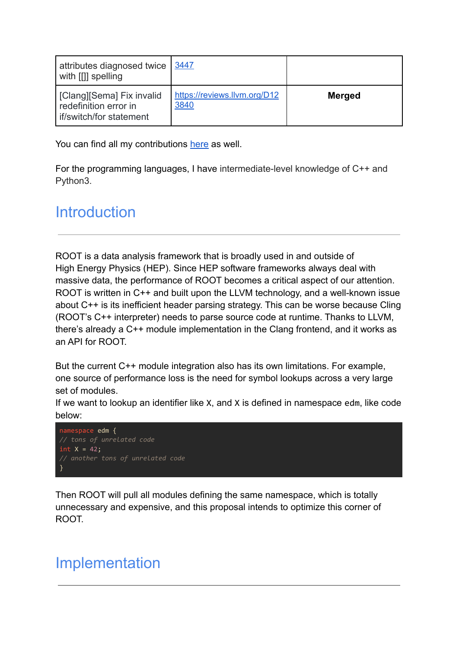| attributes diagnosed twice   3447<br>with [[]] spelling                         |                                      |               |
|---------------------------------------------------------------------------------|--------------------------------------|---------------|
| [Clang] [Sema] Fix invalid<br>redefinition error in<br>lif/switch/for statement | https://reviews.llvm.org/D12<br>3840 | <b>Merged</b> |

You can find all my contributions [here](https://github.com/llvm/llvm-project/commits?author=junaire) as well.

For the programming languages, I have intermediate-level knowledge of C++ and Python3.

### **Introduction**

ROOT is a data analysis framework that is broadly used in and outside of High Energy Physics (HEP). Since HEP software frameworks always deal with massive data, the performance of ROOT becomes a critical aspect of our attention. ROOT is written in C++ and built upon the LLVM technology, and a well-known issue about C++ is its inefficient header parsing strategy. This can be worse because Cling (ROOT's C++ interpreter) needs to parse source code at runtime. Thanks to LLVM, there's already a C++ module implementation in the Clang frontend, and it works as an API for ROOT.

But the current C++ module integration also has its own limitations. For example, one source of performance loss is the need for symbol lookups across a very large set of modules.

If we want to lookup an identifier like X, and X is defined in namespace edm, like code below:



Then ROOT will pull all modules defining the same namespace, which is totally unnecessary and expensive, and this proposal intends to optimize this corner of ROOT.

### Implementation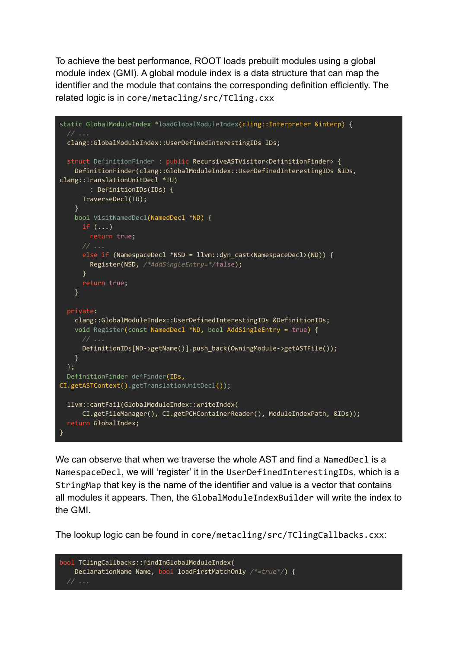To achieve the best performance, ROOT loads prebuilt modules using a global module index (GMI). A global module index is a data structure that can map the identifier and the module that contains the corresponding definition efficiently. The related logic is in core/metacling/src/TCling.cxx

```
static GlobalModuleIndex *loadGlobalModuleIndex(cling::Interpreter &interp) {
 clang::GlobalModuleIndex::UserDefinedInterestingIDs IDs;
 struct DefinitionFinder : public RecursiveASTVisitor<DefinitionFinder> {
   DefinitionFinder(clang::GlobalModuleIndex::UserDefinedInterestingIDs &IDs,
clang::TranslationUnitDecl *TU)
        : DefinitionIDs(IDs) {
     TraverseDecl(TU);
    }
   bool VisitNamedDecl(NamedDecl *ND) {
     if \left( \ldots \right)return true;
     else if (NamespaceDecl *NSD = llvm::dyn_cast<NamespaceDecl>(ND)) {
       Register(NSD, /*AddSingleEntry=*/false);
     }
     return true;
    }
 private:
   clang::GlobalModuleIndex::UserDefinedInterestingIDs &DefinitionIDs;
   void Register(const NamedDecl *ND, bool AddSingleEntry = true) {
     // ...
     DefinitionIDs[ND->getName()].push_back(OwningModule->getASTFile());
    }
  };
 DefinitionFinder defFinder(IDs,
CI.getASTContext().getTranslationUnitDecl());
 llvm::cantFail(GlobalModuleIndex::writeIndex(
     CI.getFileManager(), CI.getPCHContainerReader(), ModuleIndexPath, &IDs));
  return GlobalIndex;
}
```
We can observe that when we traverse the whole AST and find a NamedDec1 is a NamespaceDecl, we will 'register' it in the UserDefinedInterestingIDs, which is a StringMap that key is the name of the identifier and value is a vector that contains all modules it appears. Then, the GlobalModuleIndexBuilder will write the index to the GMI.

The lookup logic can be found in core/metacling/src/TClingCallbacks.cxx:

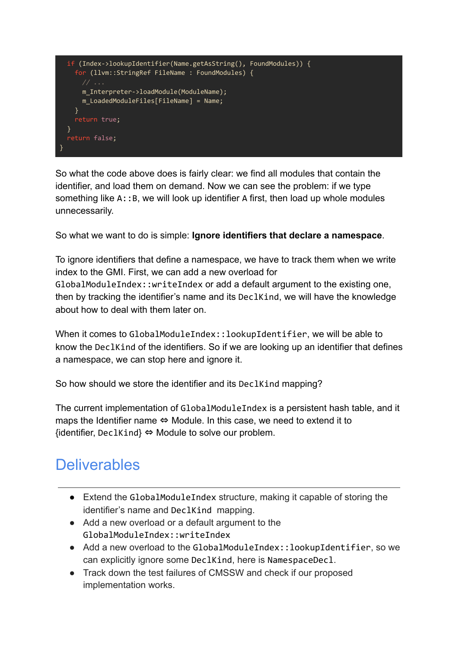

So what the code above does is fairly clear: we find all modules that contain the identifier, and load them on demand. Now we can see the problem: if we type something like A:: B, we will look up identifier A first, then load up whole modules unnecessarily.

So what we want to do is simple: **Ignore identifiers that declare a namespace**.

To ignore identifiers that define a namespace, we have to track them when we write index to the GMI. First, we can add a new overload for GlobalModuleIndex::writeIndex or add a default argument to the existing one, then by tracking the identifier's name and its DeclKind, we will have the knowledge about how to deal with them later on.

When it comes to GlobalModuleIndex::lookupIdentifier, we will be able to know the DeclKind of the identifiers. So if we are looking up an identifier that defines a namespace, we can stop here and ignore it.

So how should we store the identifier and its DeclKind mapping?

The current implementation of GlobalModuleIndex is a persistent hash table, and it maps the Identifier name ⇔ Module. In this case, we need to extend it to  $\{$ identifier, DeclKind $\} \Leftrightarrow$  Module to solve our problem.

## **Deliverables**

- Extend the GlobalModuleIndex structure, making it capable of storing the identifier's name and DeclKind mapping.
- Add a new overload or a default argument to the GlobalModuleIndex::writeIndex
- Add a new overload to the GlobalModuleIndex::lookupIdentifier, so we can explicitly ignore some DeclKind, here is NamespaceDecl.
- Track down the test failures of CMSSW and check if our proposed implementation works.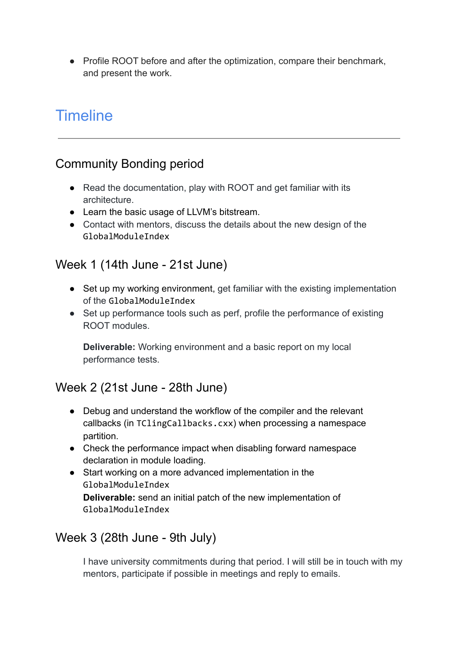• Profile ROOT before and after the optimization, compare their benchmark, and present the work.

## **Timeline**

### Community Bonding period

- Read the documentation, play with ROOT and get familiar with its architecture.
- Learn the basic usage of LLVM's bitstream.
- Contact with mentors, discuss the details about the new design of the GlobalModuleIndex

#### Week 1 (14th June - 21st June)

- Set up my working environment, get familiar with the existing implementation of the GlobalModuleIndex
- Set up performance tools such as perf, profile the performance of existing ROOT modules.

**Deliverable:** Working environment and a basic report on my local performance tests.

#### Week 2 (21st June - 28th June)

- Debug and understand the workflow of the compiler and the relevant callbacks (in TClingCallbacks.cxx) when processing a namespace partition.
- Check the performance impact when disabling forward namespace declaration in module loading.
- Start working on a more advanced implementation in the GlobalModuleIndex **Deliverable:** send an initial patch of the new implementation of GlobalModuleIndex

#### Week 3 (28th June - 9th July)

I have university commitments during that period. I will still be in touch with my mentors, participate if possible in meetings and reply to emails.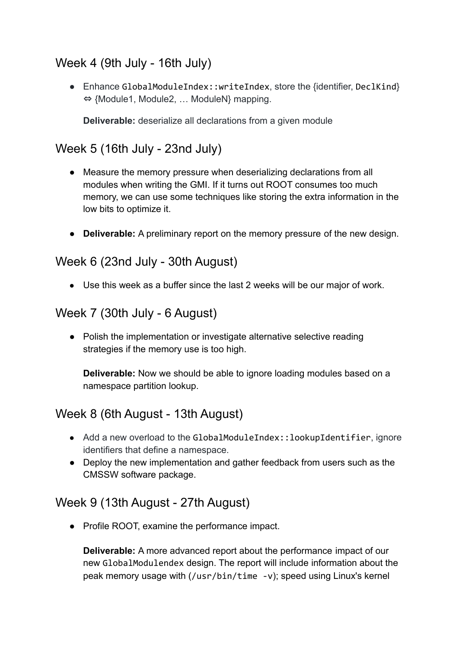### Week 4 (9th July - 16th July)

● Enhance GlobalModuleIndex::writeIndex, store the {identifier, DeclKind} ⇔ {Module1, Module2, … ModuleN} mapping.

**Deliverable:** deserialize all declarations from a given module

#### Week 5 (16th July - 23nd July)

- Measure the memory pressure when deserializing declarations from all modules when writing the GMI. If it turns out ROOT consumes too much memory, we can use some techniques like storing the extra information in the low bits to optimize it.
- **Deliverable:** A preliminary report on the memory pressure of the new design.

#### Week 6 (23nd July - 30th August)

● Use this week as a buffer since the last 2 weeks will be our major of work.

#### Week 7 (30th July - 6 August)

● Polish the implementation or investigate alternative selective reading strategies if the memory use is too high.

**Deliverable:** Now we should be able to ignore loading modules based on a namespace partition lookup.

#### Week 8 (6th August - 13th August)

- Add a new overload to the GlobalModuleIndex::lookupIdentifier, ignore identifiers that define a namespace.
- Deploy the new implementation and gather feedback from users such as the CMSSW software package.

#### Week 9 (13th August - 27th August)

● Profile ROOT, examine the performance impact.

**Deliverable:** A more advanced report about the performance impact of our new GlobalModulendex design. The report will include information about the peak memory usage with (/usr/bin/time -v); speed using Linux's kernel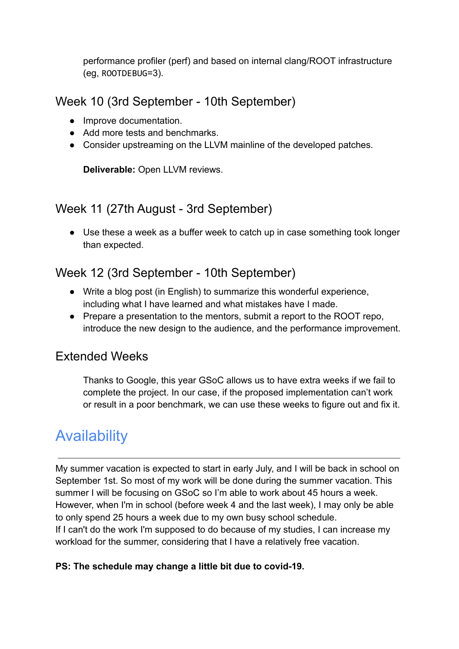performance profiler (perf) and based on internal clang/ROOT infrastructure (eg, ROOTDEBUG=3).

#### Week 10 (3rd September - 10th September)

- Improve documentation.
- Add more tests and benchmarks.
- Consider upstreaming on the LLVM mainline of the developed patches.

**Deliverable:** Open LLVM reviews.

#### Week 11 (27th August - 3rd September)

• Use these a week as a buffer week to catch up in case something took longer than expected.

#### Week 12 (3rd September - 10th September)

- Write a blog post (in English) to summarize this wonderful experience, including what I have learned and what mistakes have I made.
- Prepare a presentation to the mentors, submit a report to the ROOT repo, introduce the new design to the audience, and the performance improvement.

#### Extended Weeks

Thanks to Google, this year GSoC allows us to have extra weeks if we fail to complete the project. In our case, if the proposed implementation can't work or result in a poor benchmark, we can use these weeks to figure out and fix it.

## **Availability**

My summer vacation is expected to start in early July, and I will be back in school on September 1st. So most of my work will be done during the summer vacation. This summer I will be focusing on GSoC so I'm able to work about 45 hours a week. However, when I'm in school (before week 4 and the last week), I may only be able to only spend 25 hours a week due to my own busy school schedule. If I can't do the work I'm supposed to do because of my studies, I can increase my workload for the summer, considering that I have a relatively free vacation.

#### **PS: The schedule may change a little bit due to covid-19.**